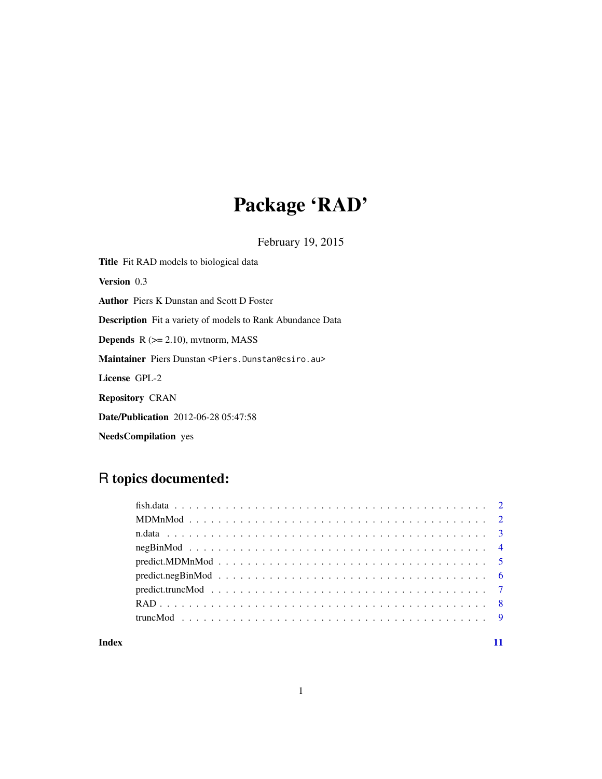# Package 'RAD'

February 19, 2015

Title Fit RAD models to biological data Version 0.3 Author Piers K Dunstan and Scott D Foster Description Fit a variety of models to Rank Abundance Data **Depends**  $R$  ( $>= 2.10$ ), mvtnorm, MASS Maintainer Piers Dunstan <Piers.Dunstan@csiro.au> License GPL-2 Repository CRAN Date/Publication 2012-06-28 05:47:58

NeedsCompilation yes

# R topics documented:

#### **Index** [11](#page-10-0)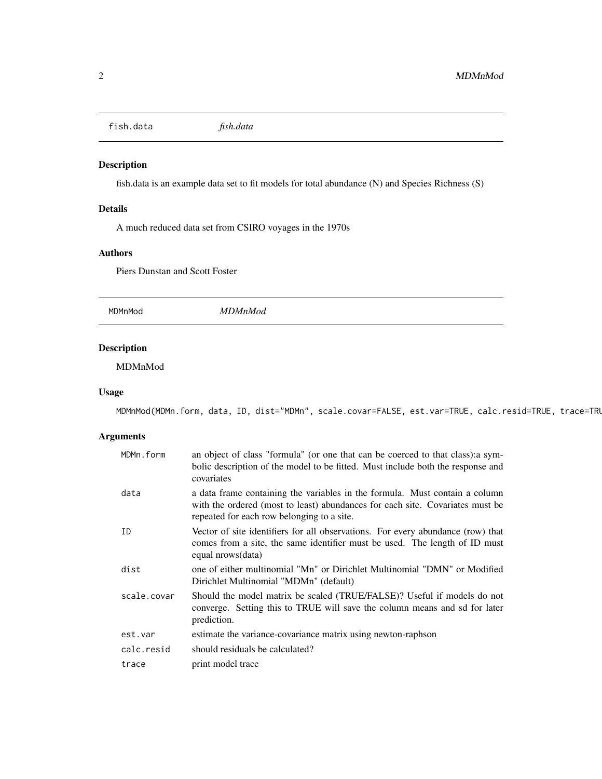<span id="page-1-0"></span>fish.data *fish.data*

# Description

fish.data is an example data set to fit models for total abundance (N) and Species Richness (S)

## Details

A much reduced data set from CSIRO voyages in the 1970s

#### Authors

Piers Dunstan and Scott Foster

MDMnMod *MDMnMod*

# Description

MDMnMod

#### Usage

MDMnMod(MDMn.form, data, ID, dist="MDMn", scale.covar=FALSE, est.var=TRUE, calc.resid=TRUE, trace=TRUE)

# Arguments

| MDMn.form   | an object of class "formula" (or one that can be coerced to that class): a sym-<br>bolic description of the model to be fitted. Must include both the response and<br>covariates                           |
|-------------|------------------------------------------------------------------------------------------------------------------------------------------------------------------------------------------------------------|
| data        | a data frame containing the variables in the formula. Must contain a column<br>with the ordered (most to least) abundances for each site. Covariates must be<br>repeated for each row belonging to a site. |
| ID          | Vector of site identifiers for all observations. For every abundance (row) that<br>comes from a site, the same identifier must be used. The length of ID must<br>equal nrows(data)                         |
| dist        | one of either multinomial "Mn" or Dirichlet Multinomial "DMN" or Modified<br>Dirichlet Multinomial "MDMn" (default)                                                                                        |
| scale.covar | Should the model matrix be scaled (TRUE/FALSE)? Useful if models do not<br>converge. Setting this to TRUE will save the column means and sd for later<br>prediction.                                       |
| est.var     | estimate the variance-covariance matrix using newton-raphson                                                                                                                                               |
| calc.resid  | should residuals be calculated?                                                                                                                                                                            |
| trace       | print model trace                                                                                                                                                                                          |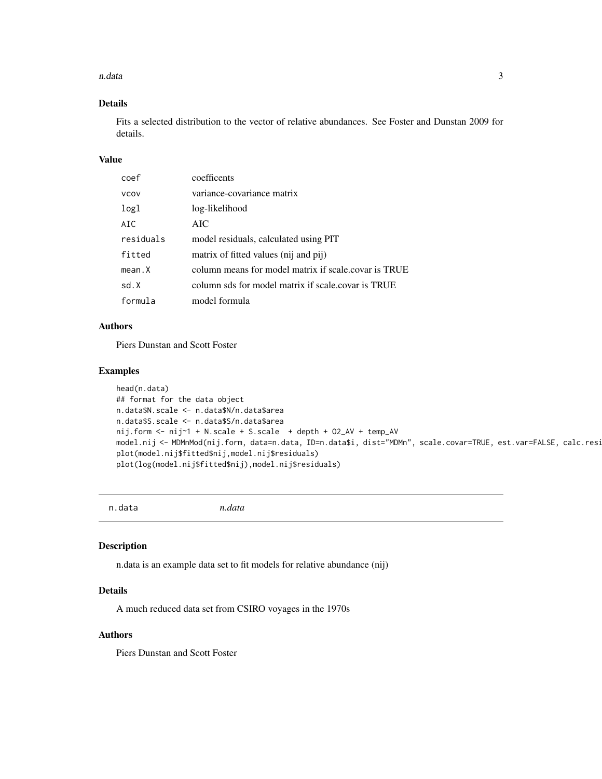#### <span id="page-2-0"></span>n.data 3

# Details

Fits a selected distribution to the vector of relative abundances. See Foster and Dunstan 2009 for details.

# Value

| coef        | coefficents                                          |
|-------------|------------------------------------------------------|
| <b>VCOV</b> | variance-covariance matrix                           |
| logl        | log-likelihood                                       |
| AIC         | AIC.                                                 |
| residuals   | model residuals, calculated using PIT                |
| fitted      | matrix of fitted values (nij and pij)                |
| mean.X      | column means for model matrix if scale.covar is TRUE |
| sd.X        | column sds for model matrix if scale.covar is TRUE   |
| formula     | model formula                                        |

#### Authors

Piers Dunstan and Scott Foster

#### Examples

```
head(n.data)
## format for the data object
n.data$N.scale <- n.data$N/n.data$area
n.data$S.scale <- n.data$S/n.data$area
nij.form <- nij~1 + N.scale + S.scale + depth + O2_AV + temp_AV
model.nij <- MDMnMod(nij.form, data=n.data, ID=n.data$i, dist="MDMn", scale.covar=TRUE, est.var=FALSE, calc.resi
plot(model.nij$fitted$nij,model.nij$residuals)
plot(log(model.nij$fitted$nij),model.nij$residuals)
```
n.data *n.data*

# Description

n.data is an example data set to fit models for relative abundance (nij)

# Details

A much reduced data set from CSIRO voyages in the 1970s

# Authors

Piers Dunstan and Scott Foster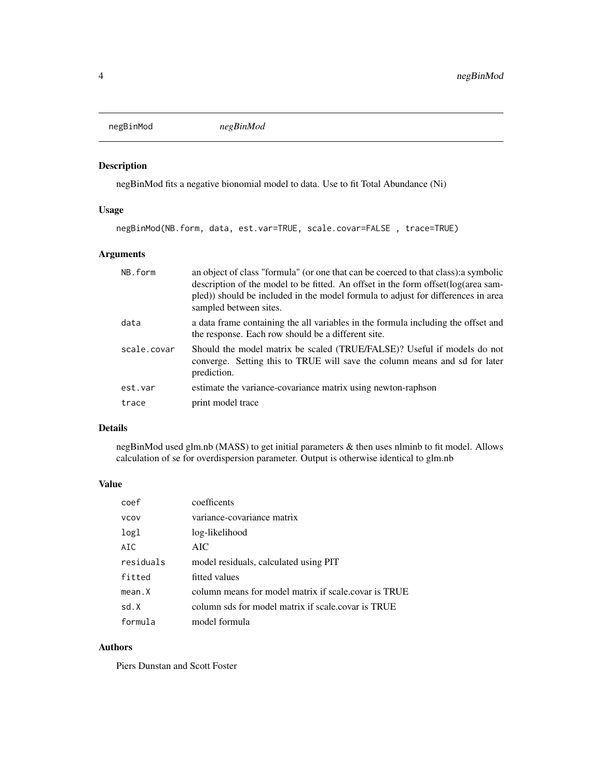<span id="page-3-0"></span>negBinMod *negBinMod*

#### Description

negBinMod fits a negative bionomial model to data. Use to fit Total Abundance (Ni)

# Usage

negBinMod(NB.form, data, est.var=TRUE, scale.covar=FALSE , trace=TRUE)

# Arguments

| NB.form     | an object of class "formula" (or one that can be coerced to that class): a symbolic<br>description of the model to be fitted. An offset in the form offset(log(area sam-<br>pled) should be included in the model formula to adjust for differences in area<br>sampled between sites. |
|-------------|---------------------------------------------------------------------------------------------------------------------------------------------------------------------------------------------------------------------------------------------------------------------------------------|
| data        | a data frame containing the all variables in the formula including the offset and<br>the response. Each row should be a different site.                                                                                                                                               |
| scale.covar | Should the model matrix be scaled (TRUE/FALSE)? Useful if models do not<br>converge. Setting this to TRUE will save the column means and sd for later<br>prediction.                                                                                                                  |
| est.var     | estimate the variance-covariance matrix using newton-raphson                                                                                                                                                                                                                          |
| trace       | print model trace                                                                                                                                                                                                                                                                     |

# Details

negBinMod used glm.nb (MASS) to get initial parameters & then uses nlminb to fit model. Allows calculation of se for overdispersion parameter. Output is otherwise identical to glm.nb

# Value

| coef        | coefficents                                          |
|-------------|------------------------------------------------------|
| <b>VCOV</b> | variance-covariance matrix                           |
| logl        | log-likelihood                                       |
| AIC         | AIC                                                  |
| residuals   | model residuals, calculated using PIT                |
| fitted      | fitted values                                        |
| mean.X      | column means for model matrix if scale.covar is TRUE |
| sd.X        | column sds for model matrix if scale.covar is TRUE   |
| formula     | model formula                                        |

# Authors

Piers Dunstan and Scott Foster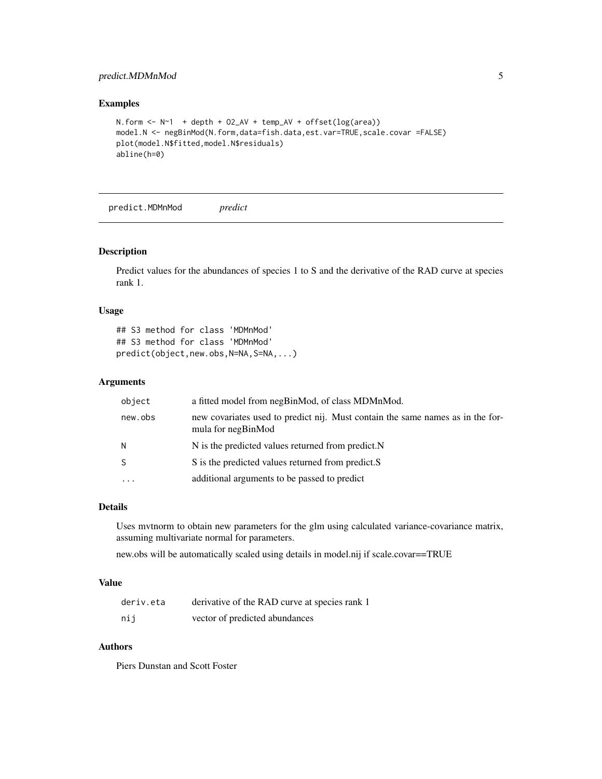# <span id="page-4-0"></span>predict.MDMnMod 5

#### Examples

```
N.form <- N~1 + depth + O2_AV + temp_AV + offset(log(area))
model.N <- negBinMod(N.form,data=fish.data,est.var=TRUE,scale.covar =FALSE)
plot(model.N$fitted,model.N$residuals)
abline(h=0)
```
predict.MDMnMod *predict*

#### Description

Predict values for the abundances of species 1 to S and the derivative of the RAD curve at species rank 1.

#### Usage

```
## S3 method for class 'MDMnMod'
## S3 method for class 'MDMnMod'
predict(object,new.obs,N=NA,S=NA,...)
```
### Arguments

| object   | a fitted model from negBinMod, of class MDMnMod.                                                     |
|----------|------------------------------------------------------------------------------------------------------|
| new.obs  | new covariates used to predict nij. Must contain the same names as in the for-<br>mula for negBinMod |
| И        | N is the predicted values returned from predict.N                                                    |
| S        | S is the predicted values returned from predict.S                                                    |
| $\cdots$ | additional arguments to be passed to predict                                                         |

#### Details

Uses mvtnorm to obtain new parameters for the glm using calculated variance-covariance matrix, assuming multivariate normal for parameters.

new.obs will be automatically scaled using details in model.nij if scale.covar==TRUE

#### Value

| deriv.eta | derivative of the RAD curve at species rank 1 |
|-----------|-----------------------------------------------|
| nij       | vector of predicted abundances                |

#### Authors

Piers Dunstan and Scott Foster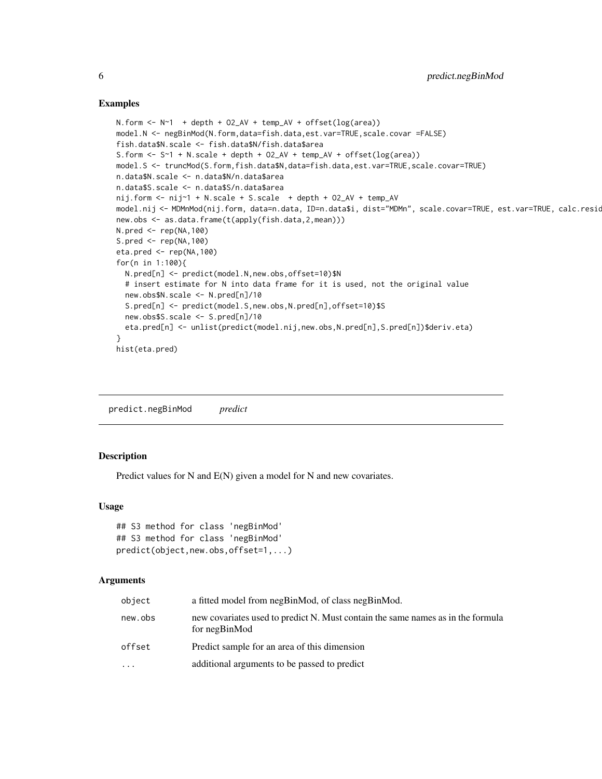#### Examples

```
N. form \leq N \leq 1 + depth + O2_AV + temp_AV + offset(log(area))
model.N <- negBinMod(N.form,data=fish.data,est.var=TRUE,scale.covar =FALSE)
fish.data$N.scale <- fish.data$N/fish.data$area
S.form <- S~1 + N.scale + depth + O2_AV + temp_AV + offset(log(area))
model.S <- truncMod(S.form,fish.data$N,data=fish.data,est.var=TRUE,scale.covar=TRUE)
n.data$N.scale <- n.data$N/n.data$area
n.data$S.scale <- n.data$S/n.data$area
nij.form <- nij~1 + N.scale + S.scale + depth + O2_AV + temp_AV
model.nij <- MDMnMod(nij.form, data=n.data, ID=n.data$i, dist="MDMn", scale.covar=TRUE, est.var=TRUE, calc.resid=TRUE, trace=TRUE)
new.obs <- as.data.frame(t(apply(fish.data,2,mean)))
N.pred <- rep(NA,100)
S.pred <- rep(NA,100)
eta.pred <- rep(NA,100)
for(n in 1:100){
  N.pred[n] <- predict(model.N,new.obs,offset=10)$N
  # insert estimate for N into data frame for it is used, not the original value
  new.obs$N.scale <- N.pred[n]/10
  S.pred[n] <- predict(model.S,new.obs,N.pred[n],offset=10)$S
  new.obs$S.scale <- S.pred[n]/10
  eta.pred[n] <- unlist(predict(model.nij,new.obs,N.pred[n],S.pred[n])$deriv.eta)
}
hist(eta.pred)
```
predict.negBinMod *predict*

#### **Description**

Predict values for N and E(N) given a model for N and new covariates.

#### Usage

```
## S3 method for class 'negBinMod'
## S3 method for class 'negBinMod'
predict(object,new.obs,offset=1,...)
```
#### Arguments

| object  | a fitted model from negBinMod, of class negBinMod.                                               |
|---------|--------------------------------------------------------------------------------------------------|
| new.obs | new covariates used to predict N. Must contain the same names as in the formula<br>for negBinMod |
| offset  | Predict sample for an area of this dimension                                                     |
| .       | additional arguments to be passed to predict                                                     |

<span id="page-5-0"></span>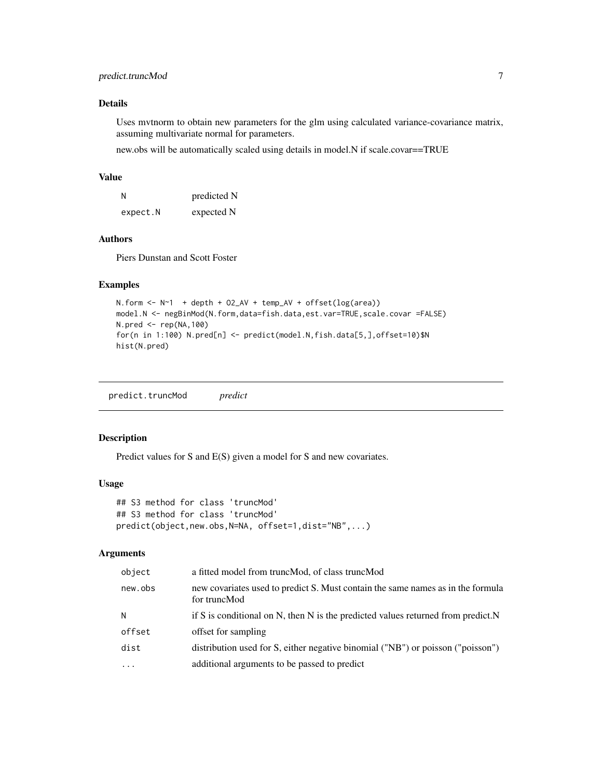# <span id="page-6-0"></span>predict.truncMod 7

# Details

Uses mvtnorm to obtain new parameters for the glm using calculated variance-covariance matrix, assuming multivariate normal for parameters.

new.obs will be automatically scaled using details in model.N if scale.covar==TRUE

#### Value

| N        | predicted N |
|----------|-------------|
| expect.N | expected N  |

# Authors

Piers Dunstan and Scott Foster

#### Examples

```
N.form \leq -N^{-1} + depth + 02_AV + temp_AV + offset(log(area))
model.N <- negBinMod(N.form,data=fish.data,est.var=TRUE,scale.covar =FALSE)
N.pred <- rep(NA,100)
for(n in 1:100) N.pred[n] <- predict(model.N,fish.data[5,],offset=10)$N
hist(N.pred)
```
predict.truncMod *predict*

# Description

Predict values for S and E(S) given a model for S and new covariates.

## Usage

```
## S3 method for class 'truncMod'
## S3 method for class 'truncMod'
predict(object,new.obs,N=NA, offset=1,dist="NB",...)
```
### Arguments

| object   | a fitted model from truncMod, of class truncMod                                                 |
|----------|-------------------------------------------------------------------------------------------------|
| new.obs  | new covariates used to predict S. Must contain the same names as in the formula<br>for truncMod |
| N        | if S is conditional on N, then N is the predicted values returned from predict. N               |
| offset   | offset for sampling                                                                             |
| dist     | distribution used for S, either negative binomial ("NB") or poisson ("poisson")                 |
| $\cdots$ | additional arguments to be passed to predict                                                    |
|          |                                                                                                 |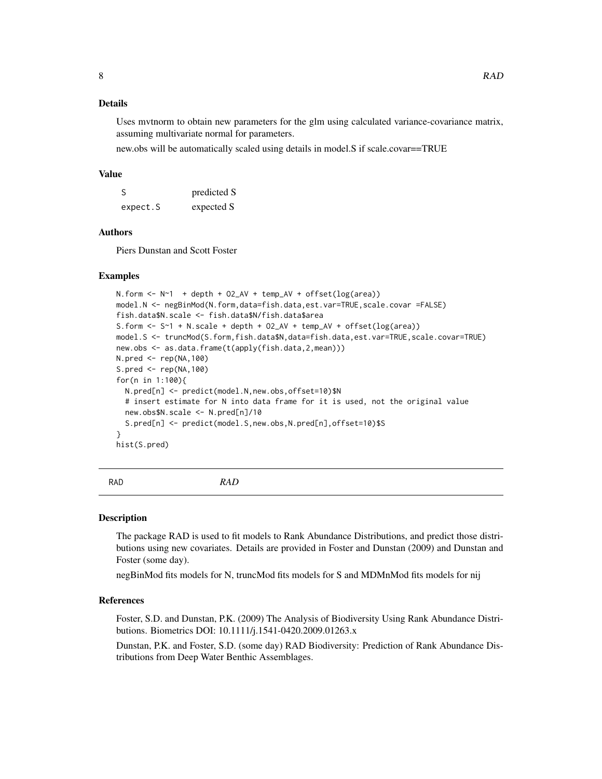#### <span id="page-7-0"></span>Details

Uses mvtnorm to obtain new parameters for the glm using calculated variance-covariance matrix, assuming multivariate normal for parameters.

new.obs will be automatically scaled using details in model.S if scale.covar==TRUE

#### Value

| <sub>S</sub> | predicted S |
|--------------|-------------|
| expect.S     | expected S  |

# Authors

Piers Dunstan and Scott Foster

#### Examples

```
N.form \leq N \leq 1 + depth + 02_AV + temp_AV + offset(log(area))
model.N <- negBinMod(N.form,data=fish.data,est.var=TRUE,scale.covar =FALSE)
fish.data$N.scale <- fish.data$N/fish.data$area
S.form <- S~1 + N.scale + depth + O2_AV + temp_AV + offset(log(area))
model.S <- truncMod(S.form,fish.data$N,data=fish.data,est.var=TRUE,scale.covar=TRUE)
new.obs <- as.data.frame(t(apply(fish.data,2,mean)))
N.pred <- rep(NA,100)
S.pred <- rep(NA,100)
for(n in 1:100){
  N.pred[n] <- predict(model.N,new.obs,offset=10)$N
  # insert estimate for N into data frame for it is used, not the original value
  new.obs$N.scale <- N.pred[n]/10
  S.pred[n] <- predict(model.S,new.obs,N.pred[n],offset=10)$S
}
hist(S.pred)
```
#### RAD *RAD*

#### Description

The package RAD is used to fit models to Rank Abundance Distributions, and predict those distributions using new covariates. Details are provided in Foster and Dunstan (2009) and Dunstan and Foster (some day).

negBinMod fits models for N, truncMod fits models for S and MDMnMod fits models for nij

# References

Foster, S.D. and Dunstan, P.K. (2009) The Analysis of Biodiversity Using Rank Abundance Distributions. Biometrics DOI: 10.1111/j.1541-0420.2009.01263.x

Dunstan, P.K. and Foster, S.D. (some day) RAD Biodiversity: Prediction of Rank Abundance Distributions from Deep Water Benthic Assemblages.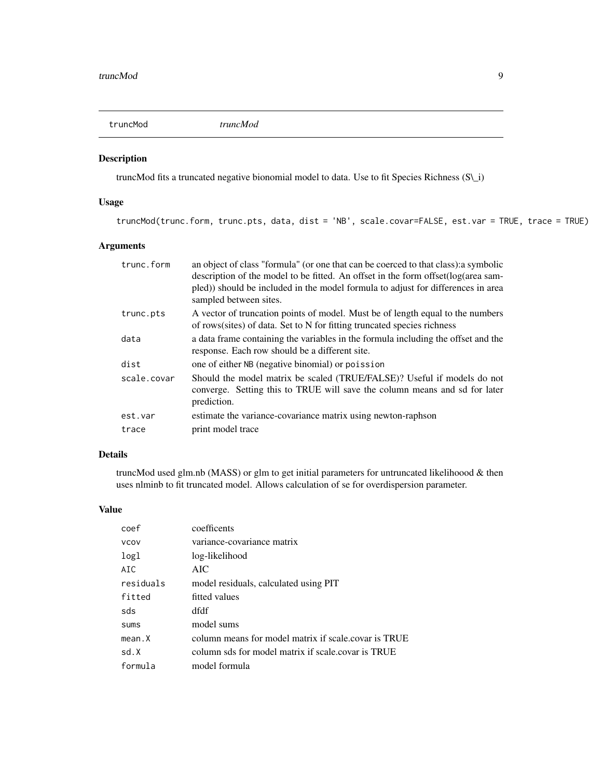<span id="page-8-0"></span>truncMod *truncMod*

# Description

truncMod fits a truncated negative bionomial model to data. Use to fit Species Richness (S\\_i)

#### Usage

truncMod(trunc.form, trunc.pts, data, dist = 'NB', scale.covar=FALSE, est.var = TRUE, trace = TRUE)

# Arguments

| trunc.form  | an object of class "formula" (or one that can be coerced to that class): a symbolic<br>description of the model to be fitted. An offset in the form offset(log(area sam-<br>pled)) should be included in the model formula to adjust for differences in area<br>sampled between sites. |
|-------------|----------------------------------------------------------------------------------------------------------------------------------------------------------------------------------------------------------------------------------------------------------------------------------------|
| trunc.pts   | A vector of truncation points of model. Must be of length equal to the numbers<br>of rows(sites) of data. Set to N for fitting truncated species richness                                                                                                                              |
| data        | a data frame containing the variables in the formula including the offset and the<br>response. Each row should be a different site.                                                                                                                                                    |
| dist        | one of either NB (negative binomial) or poission                                                                                                                                                                                                                                       |
| scale.covar | Should the model matrix be scaled (TRUE/FALSE)? Useful if models do not<br>converge. Setting this to TRUE will save the column means and sd for later<br>prediction.                                                                                                                   |
| est.var     | estimate the variance-covariance matrix using newton-raphson                                                                                                                                                                                                                           |
| trace       | print model trace                                                                                                                                                                                                                                                                      |

# Details

truncMod used glm.nb (MASS) or glm to get initial parameters for untruncated likelihoood & then uses nlminb to fit truncated model. Allows calculation of se for overdispersion parameter.

## Value

| coef        | coefficents                                          |
|-------------|------------------------------------------------------|
| <b>VCOV</b> | variance-covariance matrix                           |
| logl        | log-likelihood                                       |
| AIC         | AIC                                                  |
| residuals   | model residuals, calculated using PIT                |
| fitted      | fitted values                                        |
| sds         | dfdf                                                 |
| <b>SUMS</b> | model sums                                           |
| mean.X      | column means for model matrix if scale covar is TRUE |
| sd.X        | column sds for model matrix if scale.covar is TRUE   |
| formula     | model formula                                        |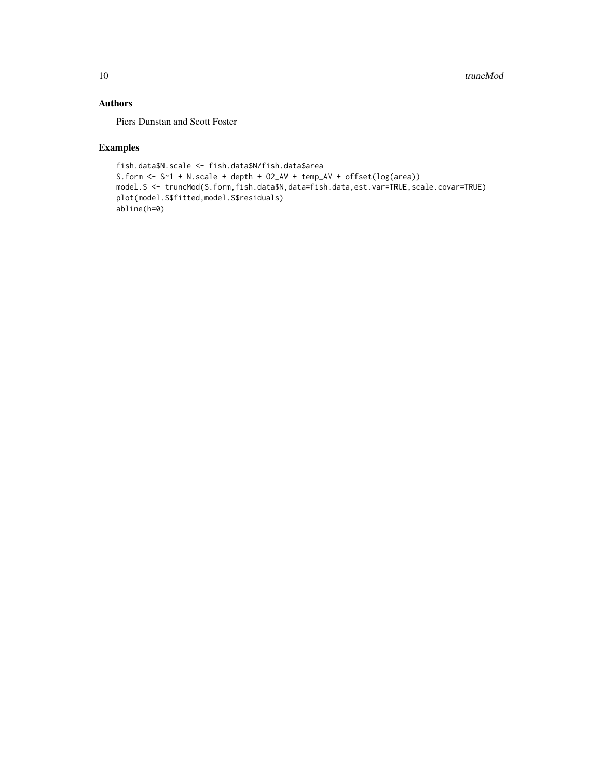# Authors

Piers Dunstan and Scott Foster

# Examples

```
fish.data$N.scale <- fish.data$N/fish.data$area
S.form <- S~1 + N.scale + depth + O2_AV + temp_AV + offset(log(area))
model.S <- truncMod(S.form,fish.data$N,data=fish.data,est.var=TRUE,scale.covar=TRUE)
plot(model.S$fitted,model.S$residuals)
abline(h=0)
```